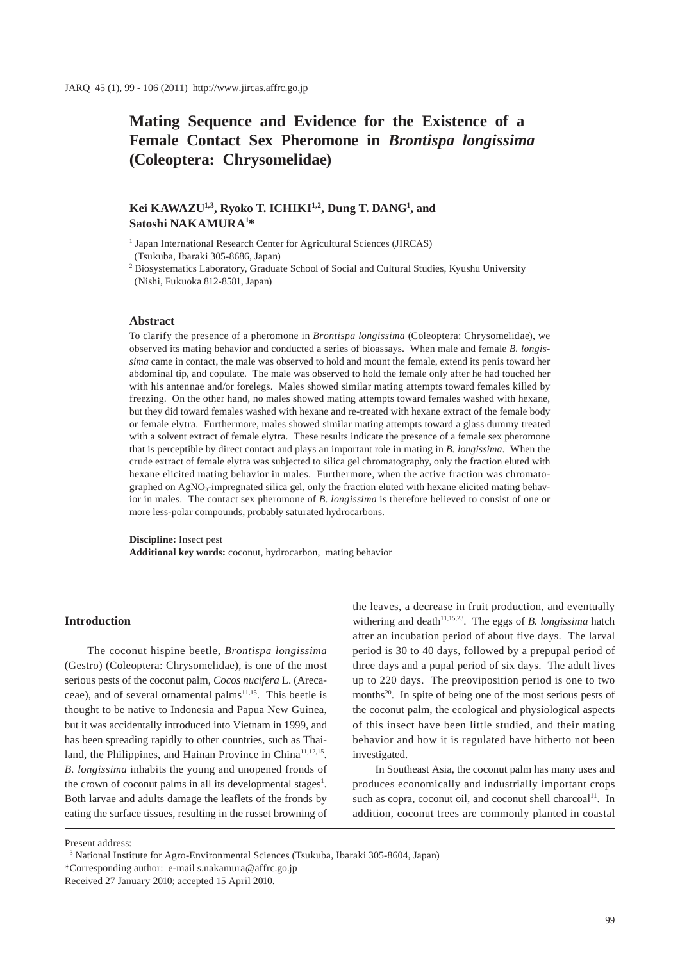# **Mating Sequence and Evidence for the Existence of a Female Contact Sex Pheromone in** *Brontispa longissima* **(Coleoptera: Chrysomelidae)**

# **Kei KAWAZU1,3, Ryoko T. ICHIKI1,2, Dung T. DANG1 , and Satoshi NAKAMURA1 \***

<sup>1</sup> Japan International Research Center for Agricultural Sciences (JIRCAS) (Tsukuba, Ibaraki 305-8686, Japan)

<sup>2</sup> Biosystematics Laboratory, Graduate School of Social and Cultural Studies, Kyushu University (Nishi, Fukuoka 812-8581, Japan)

#### **Abstract**

To clarify the presence of a pheromone in *Brontispa longissima* (Coleoptera: Chrysomelidae), we observed its mating behavior and conducted a series of bioassays. When male and female *B. longissima* came in contact, the male was observed to hold and mount the female, extend its penis toward her abdominal tip, and copulate. The male was observed to hold the female only after he had touched her with his antennae and/or forelegs. Males showed similar mating attempts toward females killed by freezing. On the other hand, no males showed mating attempts toward females washed with hexane, but they did toward females washed with hexane and re-treated with hexane extract of the female body or female elytra. Furthermore, males showed similar mating attempts toward a glass dummy treated with a solvent extract of female elytra. These results indicate the presence of a female sex pheromone that is perceptible by direct contact and plays an important role in mating in *B. longissima*. When the crude extract of female elytra was subjected to silica gel chromatography, only the fraction eluted with hexane elicited mating behavior in males. Furthermore, when the active fraction was chromatographed on  $AgNO<sub>3</sub>-impregnated silica gel, only the fraction eluted with hexane elicited mating behav$ ior in males. The contact sex pheromone of *B. longissima* is therefore believed to consist of one or more less-polar compounds, probably saturated hydrocarbons.

**Discipline:** Insect pest **Additional key words:** coconut, hydrocarbon, mating behavior

#### **Introduction**

The coconut hispine beetle, *Brontispa longissima* (Gestro) (Coleoptera: Chrysomelidae), is one of the most serious pests of the coconut palm, *Cocos nucifera* L. (Arecaceae), and of several ornamental palms<sup> $11,15$ </sup>. This beetle is thought to be native to Indonesia and Papua New Guinea, but it was accidentally introduced into Vietnam in 1999, and has been spreading rapidly to other countries, such as Thailand, the Philippines, and Hainan Province in China<sup>11,12,15</sup>. *B. longissima* inhabits the young and unopened fronds of the crown of coconut palms in all its developmental stages<sup>1</sup>. Both larvae and adults damage the leaflets of the fronds by eating the surface tissues, resulting in the russet browning of

the leaves, a decrease in fruit production, and eventually withering and death<sup>11,15,23</sup>. The eggs of *B. longissima* hatch after an incubation period of about five days. The larval period is 30 to 40 days, followed by a prepupal period of three days and a pupal period of six days. The adult lives up to 220 days. The preoviposition period is one to two months<sup>20</sup>. In spite of being one of the most serious pests of the coconut palm, the ecological and physiological aspects of this insect have been little studied, and their mating behavior and how it is regulated have hitherto not been investigated.

In Southeast Asia, the coconut palm has many uses and produces economically and industrially important crops such as copra, coconut oil, and coconut shell charcoal<sup>11</sup>. In addition, coconut trees are commonly planted in coastal

Present address:

<sup>&</sup>lt;sup>3</sup> National Institute for Agro-Environmental Sciences (Tsukuba, Ibaraki 305-8604, Japan)

<sup>\*</sup>Corresponding author: e-mail s.nakamura@affrc.go.jp

Received 27 January 2010; accepted 15 April 2010.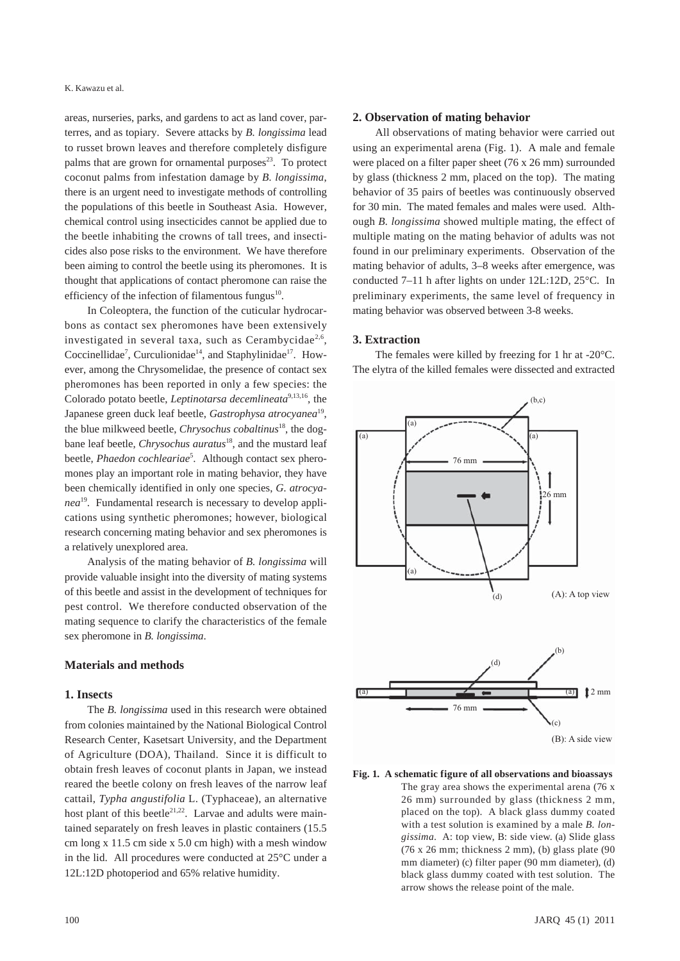areas, nurseries, parks, and gardens to act as land cover, parterres, and as topiary. Severe attacks by *B. longissima* lead to russet brown leaves and therefore completely disfigure palms that are grown for ornamental purposes $^{23}$ . To protect coconut palms from infestation damage by *B. longissima*, there is an urgent need to investigate methods of controlling the populations of this beetle in Southeast Asia. However, chemical control using insecticides cannot be applied due to the beetle inhabiting the crowns of tall trees, and insecticides also pose risks to the environment. We have therefore been aiming to control the beetle using its pheromones. It is thought that applications of contact pheromone can raise the efficiency of the infection of filamentous fungus $10$ .

In Coleoptera, the function of the cuticular hydrocarbons as contact sex pheromones have been extensively investigated in several taxa, such as Cerambycidae<sup>2,6</sup>, Coccinellidae<sup>7</sup>, Curculionidae<sup>14</sup>, and Staphylinidae<sup>17</sup>. However, among the Chrysomelidae, the presence of contact sex pheromones has been reported in only a few species: the Colorado potato beetle, *Leptinotarsa decemlineata*<sup>9,13,16</sup>, the Japanese green duck leaf beetle, *Gastrophysa atrocyanea*19, the blue milkweed beetle, *Chrysochus cobaltinus*18, the dogbane leaf beetle, *Chrysochus auratus*18, and the mustard leaf beetle, *Phaedon cochleariae*<sup>5</sup>. Although contact sex pheromones play an important role in mating behavior, they have been chemically identified in only one species, *G. atrocyanea*19. Fundamental research is necessary to develop applications using synthetic pheromones; however, biological research concerning mating behavior and sex pheromones is a relatively unexplored area.

Analysis of the mating behavior of *B. longissima* will provide valuable insight into the diversity of mating systems of this beetle and assist in the development of techniques for pest control. We therefore conducted observation of the mating sequence to clarify the characteristics of the female sex pheromone in *B. longissima*.

#### **Materials and methods**

#### **1. Insects**

The *B. longissima* used in this research were obtained from colonies maintained by the National Biological Control Research Center, Kasetsart University, and the Department of Agriculture (DOA), Thailand. Since it is difficult to obtain fresh leaves of coconut plants in Japan, we instead reared the beetle colony on fresh leaves of the narrow leaf cattail, *Typha angustifolia* L. (Typhaceae), an alternative host plant of this beetle<sup>21,22</sup>. Larvae and adults were maintained separately on fresh leaves in plastic containers (15.5 cm long x 11.5 cm side x 5.0 cm high) with a mesh window in the lid. All procedures were conducted at 25°C under a 12L:12D photoperiod and 65% relative humidity.

#### **2. Observation of mating behavior**

All observations of mating behavior were carried out using an experimental arena (Fig. 1). A male and female were placed on a filter paper sheet (76 x 26 mm) surrounded by glass (thickness 2 mm, placed on the top). The mating behavior of 35 pairs of beetles was continuously observed for 30 min. The mated females and males were used. Although *B. longissima* showed multiple mating, the effect of multiple mating on the mating behavior of adults was not found in our preliminary experiments. Observation of the mating behavior of adults, 3–8 weeks after emergence, was conducted 7–11 h after lights on under 12L:12D, 25°C. In preliminary experiments, the same level of frequency in mating behavior was observed between 3-8 weeks.

#### **3. Extraction**

The females were killed by freezing for 1 hr at -20°C. The elytra of the killed females were dissected and extracted



**Fig. 1. A schematic figure of all observations and bioassays** The gray area shows the experimental arena (76 x 26 mm) surrounded by glass (thickness 2 mm, placed on the top). A black glass dummy coated with a test solution is examined by a male *B. longissima*. A: top view, B: side view. (a) Slide glass (76 x 26 mm; thickness 2 mm), (b) glass plate (90 mm diameter) (c) filter paper (90 mm diameter), (d) black glass dummy coated with test solution. The arrow shows the release point of the male.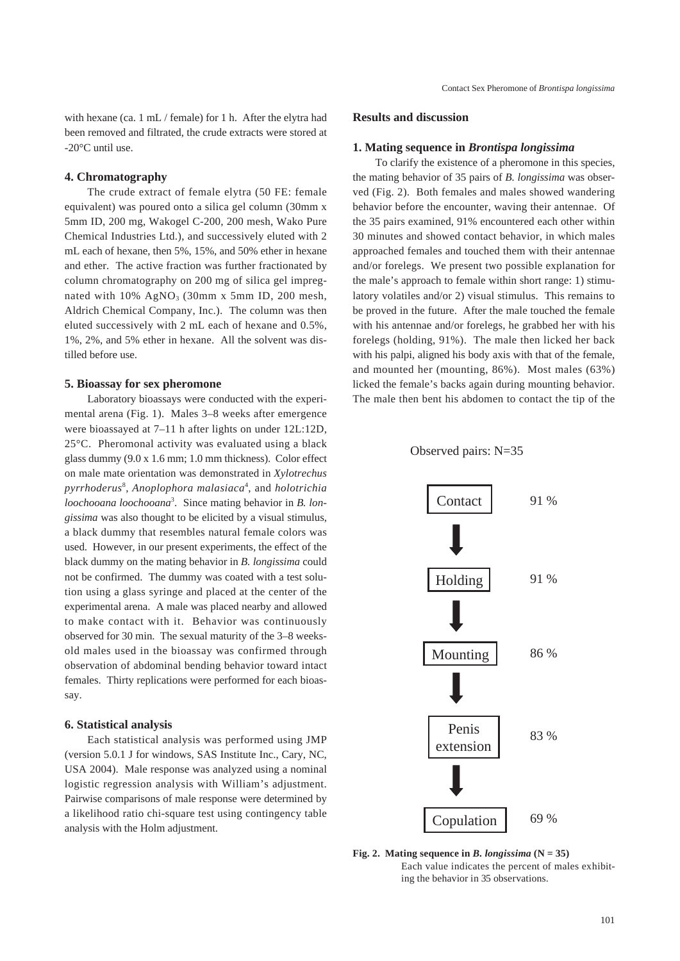with hexane (ca. 1 mL / female) for 1 h. After the elytra had been removed and filtrated, the crude extracts were stored at -20°C until use.

#### **4. Chromatography**

The crude extract of female elytra (50 FE: female equivalent) was poured onto a silica gel column (30mm x 5mm ID, 200 mg, Wakogel C-200, 200 mesh, Wako Pure Chemical Industries Ltd.), and successively eluted with 2 mL each of hexane, then 5%, 15%, and 50% ether in hexane and ether. The active fraction was further fractionated by column chromatography on 200 mg of silica gel impregnated with  $10\%$  AgNO<sub>3</sub> (30mm x 5mm ID, 200 mesh, Aldrich Chemical Company, Inc.). The column was then eluted successively with 2 mL each of hexane and 0.5%, 1%, 2%, and 5% ether in hexane. All the solvent was distilled before use.

#### **5. Bioassay for sex pheromone**

Laboratory bioassays were conducted with the experimental arena (Fig. 1). Males 3–8 weeks after emergence were bioassayed at 7–11 h after lights on under 12L:12D, 25°C. Pheromonal activity was evaluated using a black glass dummy (9.0 x 1.6 mm; 1.0 mm thickness). Color effect on male mate orientation was demonstrated in *Xylotrechus pyrrhoderus*<sup>8</sup> , *Anoplophora malasiaca*<sup>4</sup> , and *holotrichia loochooana loochooana*<sup>3</sup> . Since mating behavior in *B. longissima* was also thought to be elicited by a visual stimulus, a black dummy that resembles natural female colors was used. However, in our present experiments, the effect of the black dummy on the mating behavior in *B. longissima* could not be confirmed. The dummy was coated with a test solution using a glass syringe and placed at the center of the experimental arena. A male was placed nearby and allowed to make contact with it. Behavior was continuously observed for 30 min. The sexual maturity of the 3–8 weeksold males used in the bioassay was confirmed through observation of abdominal bending behavior toward intact females. Thirty replications were performed for each bioassay.

#### **6. Statistical analysis**

Each statistical analysis was performed using JMP (version 5.0.1 J for windows, SAS Institute Inc., Cary, NC, USA 2004). Male response was analyzed using a nominal logistic regression analysis with William's adjustment. Pairwise comparisons of male response were determined by a likelihood ratio chi-square test using contingency table analysis with the Holm adjustment.

#### **Results and discussion**

#### **1. Mating sequence in** *Brontispa longissima*

To clarify the existence of a pheromone in this species, the mating behavior of 35 pairs of *B. longissima* was observed (Fig. 2). Both females and males showed wandering behavior before the encounter, waving their antennae. Of the 35 pairs examined, 91% encountered each other within 30 minutes and showed contact behavior, in which males approached females and touched them with their antennae and/or forelegs. We present two possible explanation for the male's approach to female within short range: 1) stimulatory volatiles and/or 2) visual stimulus. This remains to be proved in the future. After the male touched the female with his antennae and/or forelegs, he grabbed her with his forelegs (holding, 91%). The male then licked her back with his palpi, aligned his body axis with that of the female, and mounted her (mounting, 86%). Most males (63%) licked the female's backs again during mounting behavior. The male then bent his abdomen to contact the tip of the





**Fig. 2.** Mating sequence in *B. longissima*  $(N = 35)$ Each value indicates the percent of males exhibiting the behavior in 35 observations.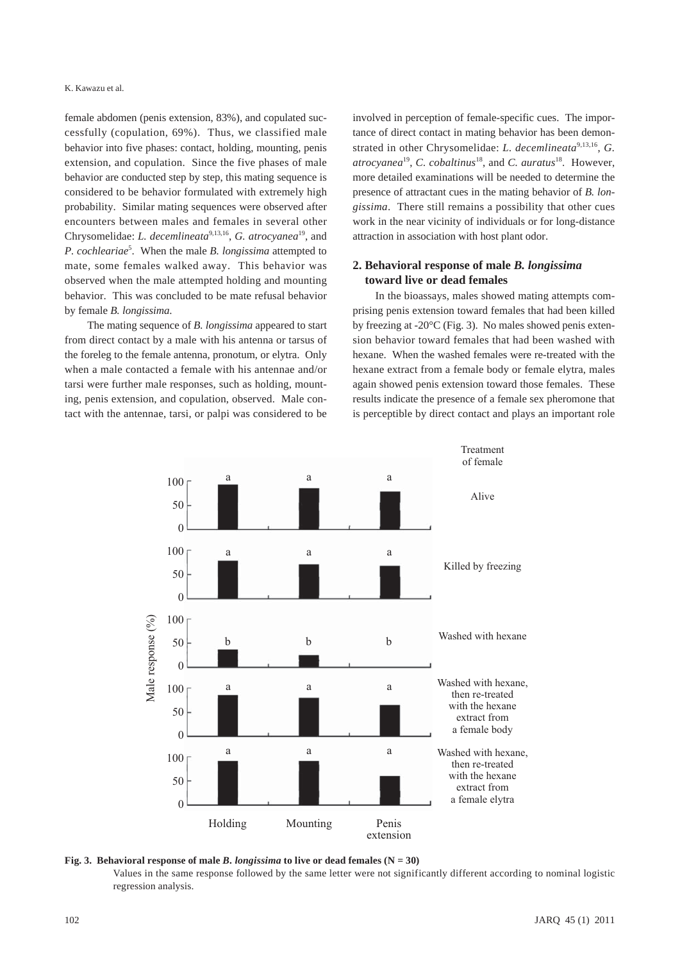#### K. Kawazu et al.

female abdomen (penis extension, 83%), and copulated successfully (copulation, 69%). Thus, we classified male behavior into five phases: contact, holding, mounting, penis extension, and copulation. Since the five phases of male behavior are conducted step by step, this mating sequence is considered to be behavior formulated with extremely high probability. Similar mating sequences were observed after encounters between males and females in several other Chrysomelidae: *L. decemlineata*<sup>9,13,16</sup>, *G. atrocyanea*<sup>19</sup>, and P. cochleariae<sup>5</sup>. When the male *B. longissima* attempted to mate, some females walked away. This behavior was observed when the male attempted holding and mounting behavior. This was concluded to be mate refusal behavior by female *B. longissima*.

The mating sequence of *B. longissima* appeared to start from direct contact by a male with his antenna or tarsus of the foreleg to the female antenna, pronotum, or elytra. Only when a male contacted a female with his antennae and/or tarsi were further male responses, such as holding, mounting, penis extension, and copulation, observed. Male contact with the antennae, tarsi, or palpi was considered to be

involved in perception of female-specific cues. The importance of direct contact in mating behavior has been demonstrated in other Chrysomelidae: *L. decemlineata*<sup>9,13,16</sup>, *G. atrocyanea*19, *C. cobaltinus*18, and *C. auratus*18. However, more detailed examinations will be needed to determine the presence of attractant cues in the mating behavior of *B. longissima*. There still remains a possibility that other cues work in the near vicinity of individuals or for long-distance attraction in association with host plant odor.

#### **2. Behavioral response of male** *B. longissima* **toward live or dead females**

In the bioassays, males showed mating attempts comprising penis extension toward females that had been killed by freezing at -20°C (Fig. 3). No males showed penis extension behavior toward females that had been washed with hexane. When the washed females were re-treated with the hexane extract from a female body or female elytra, males again showed penis extension toward those females. These results indicate the presence of a female sex pheromone that is perceptible by direct contact and plays an important role



**Fig. 3. Behavioral response of male** *B. longissima* **to live or dead females (** $N = 30$ **)** 

Values in the same response followed by the same letter were not significantly different according to nominal logistic regression analysis.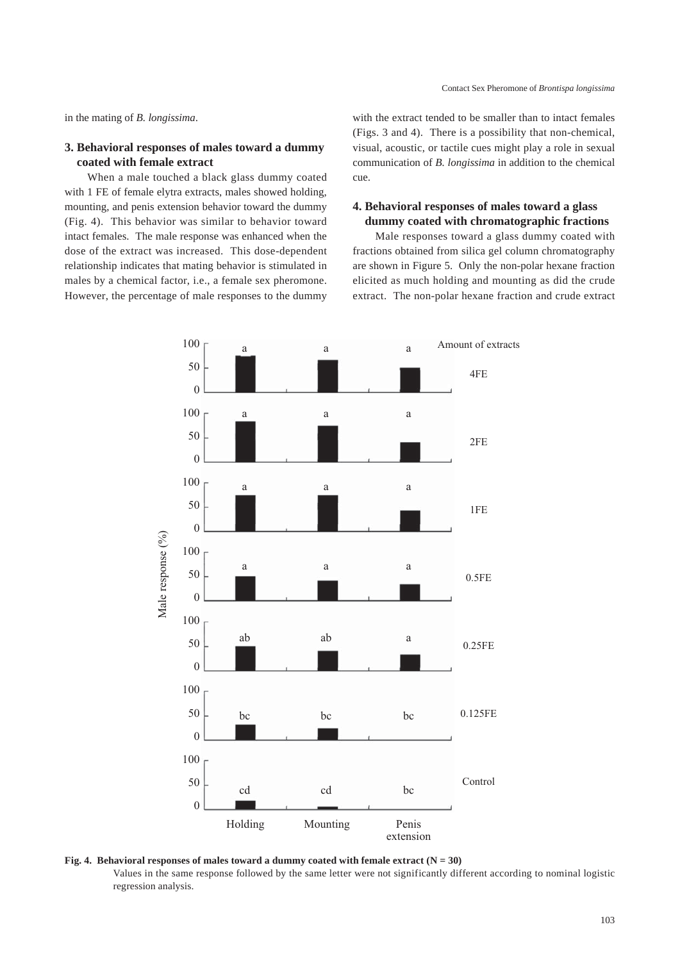in the mating of *B. longissima*.

### **3. Behavioral responses of males toward a dummy coated with female extract**

When a male touched a black glass dummy coated with 1 FE of female elytra extracts, males showed holding, mounting, and penis extension behavior toward the dummy (Fig. 4). This behavior was similar to behavior toward intact females. The male response was enhanced when the dose of the extract was increased. This dose-dependent relationship indicates that mating behavior is stimulated in males by a chemical factor, i.e., a female sex pheromone. However, the percentage of male responses to the dummy

with the extract tended to be smaller than to intact females (Figs. 3 and 4). There is a possibility that non-chemical, visual, acoustic, or tactile cues might play a role in sexual communication of *B. longissima* in addition to the chemical cue.

## **4. Behavioral responses of males toward a glass dummy coated with chromatographic fractions**

Male responses toward a glass dummy coated with fractions obtained from silica gel column chromatography are shown in Figure 5. Only the non-polar hexane fraction elicited as much holding and mounting as did the crude extract. The non-polar hexane fraction and crude extract



**Fig. 4. Behavioral responses of males toward a dummy coated with female extract**  $(N = 30)$ Values in the same response followed by the same letter were not significantly different according to nominal logistic regression analysis.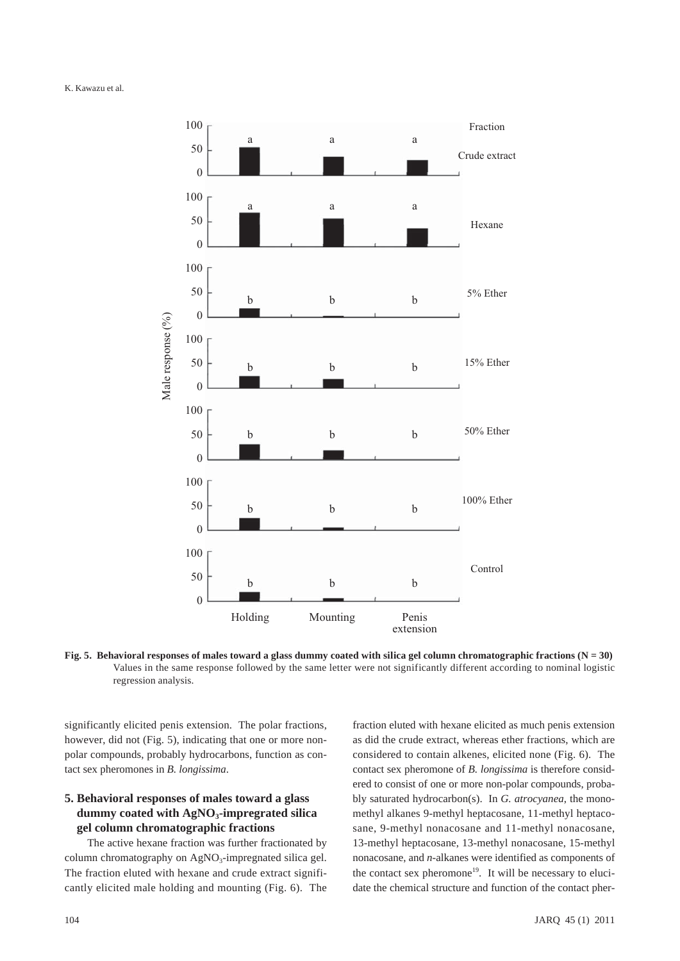K. Kawazu et al.



**Fig. 5. Behavioral responses of males toward a glass dummy coated with silica gel column chromatographic fractions (N = 30)** Values in the same response followed by the same letter were not significantly different according to nominal logistic regression analysis.

significantly elicited penis extension. The polar fractions, however, did not (Fig. 5), indicating that one or more nonpolar compounds, probably hydrocarbons, function as contact sex pheromones in *B. longissima*.

# **5. Behavioral responses of males toward a glass dummy coated with AgNO3-impregrated silica gel column chromatographic fractions**

The active hexane fraction was further fractionated by column chromatography on  $AgNO_3$ -impregnated silica gel. The fraction eluted with hexane and crude extract significantly elicited male holding and mounting (Fig. 6). The

fraction eluted with hexane elicited as much penis extension as did the crude extract, whereas ether fractions, which are considered to contain alkenes, elicited none (Fig. 6). The contact sex pheromone of *B. longissima* is therefore considered to consist of one or more non-polar compounds, probably saturated hydrocarbon(s). In *G. atrocyanea*, the monomethyl alkanes 9-methyl heptacosane, 11-methyl heptacosane, 9-methyl nonacosane and 11-methyl nonacosane, 13-methyl heptacosane, 13-methyl nonacosane, 15-methyl nonacosane, and *n*-alkanes were identified as components of the contact sex pheromone<sup>19</sup>. It will be necessary to elucidate the chemical structure and function of the contact pher-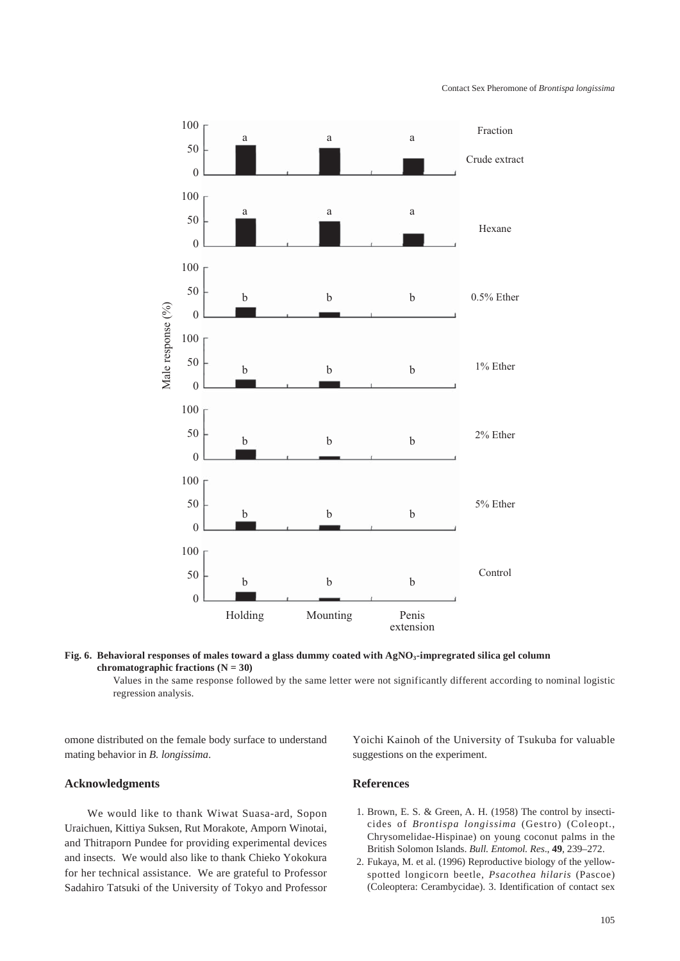

#### Fig. 6. Behavioral responses of males toward a glass dummy coated with AgNO<sub>3</sub>-impregrated silica gel column **chromatographic fractions (N = 30)**

Values in the same response followed by the same letter were not significantly different according to nominal logistic regression analysis.

omone distributed on the female body surface to understand mating behavior in *B. longissima*.

Yoichi Kainoh of the University of Tsukuba for valuable suggestions on the experiment.

#### **Acknowledgments**

We would like to thank Wiwat Suasa-ard, Sopon Uraichuen, Kittiya Suksen, Rut Morakote, Amporn Winotai, and Thitraporn Pundee for providing experimental devices and insects. We would also like to thank Chieko Yokokura for her technical assistance. We are grateful to Professor Sadahiro Tatsuki of the University of Tokyo and Professor

#### **References**

- 1. Brown, E. S. & Green, A. H. (1958) The control by insecticides of *Brontispa longissima* (Gestro) (Coleopt., Chrysomelidae-Hispinae) on young coconut palms in the British Solomon Islands. *Bull. Entomol. Res*., **49**, 239–272.
- 2. Fukaya, M. et al. (1996) Reproductive biology of the yellowspotted longicorn beetle, *Psacothea hilaris* (Pascoe) (Coleoptera: Cerambycidae). 3. Identification of contact sex